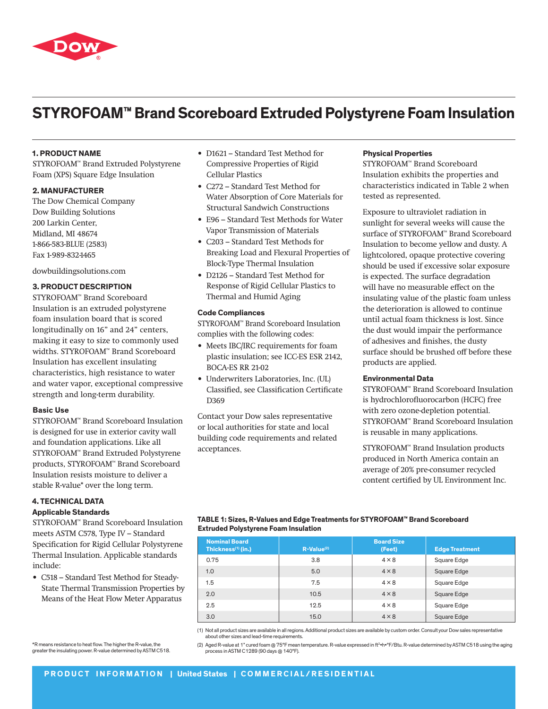

# **STYROFOAM™ Brand Scoreboard Extruded Polystyrene Foam Insulation**

# **1. product name**

STYROFOAM™ Brand Extruded Polystyrene Foam (XPS) Square Edge Insulation

# **2. manufacturer**

The Dow Chemical Company Dow Building Solutions 200 Larkin Center, Midland, MI 48674 1-866-583-BLUE (2583) Fax 1-989-832-1465

dowbuildingsolutions.com

# **3. product description**

STYROFOAM™ Brand Scoreboard Insulation is an extruded polystyrene foam insulation board that is scored longitudinally on 16" and 24" centers, making it easy to size to commonly used widths. STYROFOAM™ Brand Scoreboard Insulation has excellent insulating characteristics, high resistance to water and water vapor, exceptional compressive strength and long-term durability.

## **Basic Use**

STYROFOAM™ Brand Scoreboard Insulation is designed for use in exterior cavity wall and foundation applications. Like all STYROFOAM™ Brand Extruded Polystyrene products, STYROFOAM™ Brand Scoreboard Insulation resists moisture to deliver a stable R-value\* over the long term.

# **4. Technical Data Applicable Standards**

STYROFOAM™ Brand Scoreboard Insulation meets ASTM C578, Type IV – Standard Specification for Rigid Cellular Polystyrene Thermal Insulation. Applicable standards include:

- • C518 Standard Test Method for Steady-State Thermal Transmission Properties by Means of the Heat Flow Meter Apparatus
- \*R means resistance to heat flow. The higher the R-value, the greater the insulating power. R-value determined by ASTM C518.
- D1621 Standard Test Method for Compressive Properties of Rigid Cellular Plastics
- • C272 Standard Test Method for Water Absorption of Core Materials for Structural Sandwich Constructions
- • E96 Standard Test Methods for Water Vapor Transmission of Materials
- • C203 Standard Test Methods for Breaking Load and Flexural Properties of Block-Type Thermal Insulation
- • D2126 Standard Test Method for Response of Rigid Cellular Plastics to Thermal and Humid Aging

## **Code Compliances**

STYROFOAM™ Brand Scoreboard Insulation complies with the following codes:

- Meets IBC/IRC requirements for foam plastic insulation; see ICC-ES ESR 2142, BOCA-ES RR 21-02
- • Underwriters Laboratories, Inc. (UL) Classified, see Classification Certificate D369

Contact your Dow sales representative or local authorities for state and local building code requirements and related acceptances.

# **Physical Properties**

STYROFOAM™ Brand Scoreboard Insulation exhibits the properties and characteristics indicated in Table 2 when tested as represented.

Exposure to ultraviolet radiation in sunlight for several weeks will cause the surface of STYROFOAM™ Brand Scoreboard Insulation to become yellow and dusty. A lightcolored, opaque protective covering should be used if excessive solar exposure is expected. The surface degradation will have no measurable effect on the insulating value of the plastic foam unless the deterioration is allowed to continue until actual foam thickness is lost. Since the dust would impair the performance of adhesives and finishes, the dusty surface should be brushed off before these products are applied.

# **Environmental Data**

STYROFOAM™ Brand Scoreboard Insulation is hydrochlorofluorocarbon (HCFC) free with zero ozone-depletion potential. STYROFOAM™ Brand Scoreboard Insulation is reusable in many applications.

STYROFOAM™ Brand Insulation products produced in North America contain an average of 20% pre-consumer recycled content certified by UL Environment Inc.

# **Table 1: Sizes, R-Values and Edge Treatments for STYROFOAM™ Brand Scoreboard Extruded Polystyrene Foam Insulation**

| <b>Nominal Board</b><br>Thickness <sup>(1)</sup> (in.) | $R-Value^{(2)}$ | <b>Board Size</b><br>(Feet) | <b>Edge Treatment</b> |
|--------------------------------------------------------|-----------------|-----------------------------|-----------------------|
| 0.75                                                   | 3.8             | $4 \times 8$                | Square Edge           |
| 1.0                                                    | 5.0             | $4 \times 8$                | Square Edge           |
| 1.5                                                    | 7.5             | $4 \times 8$                | Square Edge           |
| 2.0                                                    | 10.5            | $4 \times 8$                | Square Edge           |
| 2.5                                                    | 12.5            | $4 \times 8$                | Square Edge           |
| 3.0                                                    | 15.0            | $4 \times 8$                | Square Edge           |

(1) Not all product sizes are available in all regions. Additional product sizes are available by custom order. Consult your Dow sales representative about other sizes and lead-time requirements.

(2) Aged R-value at 1" cured foam @ 75°F mean temperature. R-value expressed in ft2•h•°F/Btu. R-value determined by ASTM C518 using the aging process in ASTM C1289 (90 days @ 140°F).